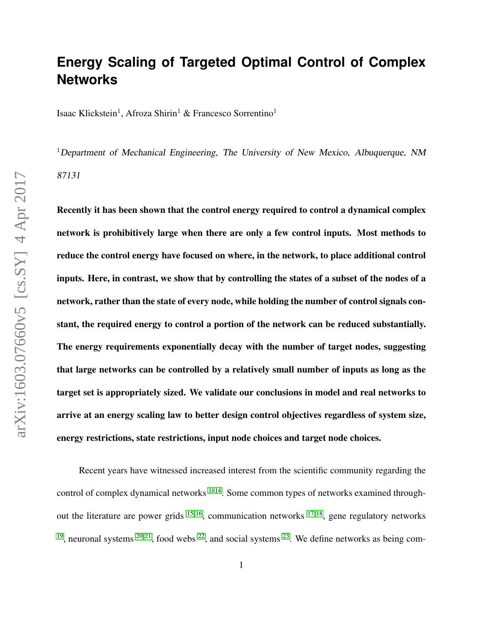## **Energy Scaling of Targeted Optimal Control of Complex Networks**

Isaac Klickstein<sup>1</sup>, Afroza Shirin<sup>1</sup> & Francesco Sorrentino<sup>1</sup>

<sup>1</sup>Department of Mechanical Engineering, The University of New Mexico, Albuquerque, NM 87131

Recently it has been shown that the control energy required to control a dynamical complex network is prohibitively large when there are only a few control inputs. Most methods to reduce the control energy have focused on where, in the network, to place additional control inputs. Here, in contrast, we show that by controlling the states of a subset of the nodes of a network, rather than the state of every node, while holding the number of control signals constant, the required energy to control a portion of the network can be reduced substantially. The energy requirements exponentially decay with the number of target nodes, suggesting that large networks can be controlled by a relatively small number of inputs as long as the target set is appropriately sized. We validate our conclusions in model and real networks to arrive at an energy scaling law to better design control objectives regardless of system size, energy restrictions, state restrictions, input node choices and target node choices.

Recent years have witnessed increased interest from the scientific community regarding the control of complex dynamical networks  $1-14$  $1-14$ . Some common types of networks examined throughout the literature are power grids  $15, 16$  $15, 16$ , communication networks  $17, 18$  $17, 18$ , gene regulatory networks <sup>[19](#page-23-5)</sup>, neuronal systems <sup>[20,](#page-23-6) [21](#page-24-0)</sup>, food webs <sup>[22](#page-24-1)</sup>, and social systems <sup>[23](#page-24-2)</sup>. We define networks as being com-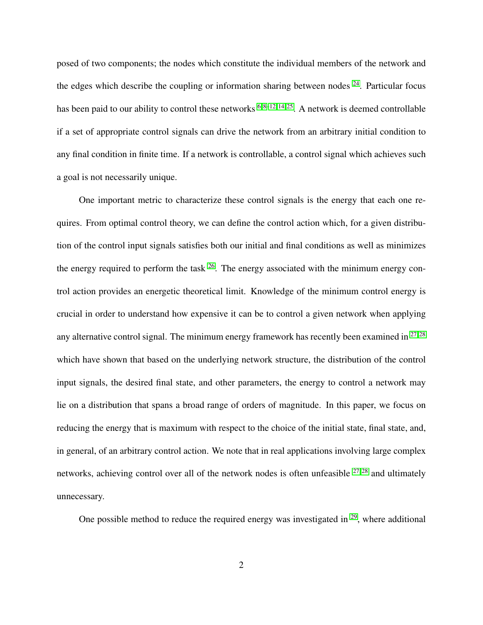posed of two components; the nodes which constitute the individual members of the network and the edges which describe the coupling or information sharing between nodes  $24$ . Particular focus has been paid to our ability to control these networks  $6, 8-12, 14, 25$  $6, 8-12, 14, 25$  $6, 8-12, 14, 25$  $6, 8-12, 14, 25$  $6, 8-12, 14, 25$ . A network is deemed controllable if a set of appropriate control signals can drive the network from an arbitrary initial condition to any final condition in finite time. If a network is controllable, a control signal which achieves such a goal is not necessarily unique.

One important metric to characterize these control signals is the energy that each one requires. From optimal control theory, we can define the control action which, for a given distribution of the control input signals satisfies both our initial and final conditions as well as minimizes the energy required to perform the task  $^{26}$  $^{26}$  $^{26}$ . The energy associated with the minimum energy control action provides an energetic theoretical limit. Knowledge of the minimum control energy is crucial in order to understand how expensive it can be to control a given network when applying any alternative control signal. The minimum energy framework has recently been examined in  $27.28$ which have shown that based on the underlying network structure, the distribution of the control input signals, the desired final state, and other parameters, the energy to control a network may lie on a distribution that spans a broad range of orders of magnitude. In this paper, we focus on reducing the energy that is maximum with respect to the choice of the initial state, final state, and, in general, of an arbitrary control action. We note that in real applications involving large complex networks, achieving control over all of the network nodes is often unfeasible  $27,28$  $27,28$  and ultimately unnecessary.

One possible method to reduce the required energy was investigated in  $29$ , where additional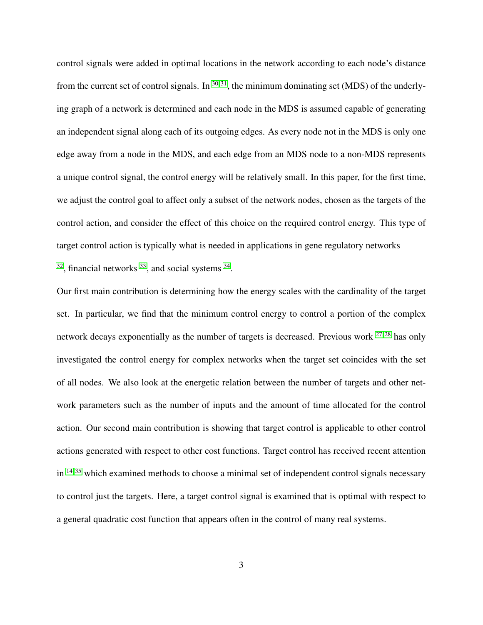control signals were added in optimal locations in the network according to each node's distance from the current set of control signals. In  $30,31$  $30,31$ , the minimum dominating set (MDS) of the underlying graph of a network is determined and each node in the MDS is assumed capable of generating an independent signal along each of its outgoing edges. As every node not in the MDS is only one edge away from a node in the MDS, and each edge from an MDS node to a non-MDS represents a unique control signal, the control energy will be relatively small. In this paper, for the first time, we adjust the control goal to affect only a subset of the network nodes, chosen as the targets of the control action, and consider the effect of this choice on the required control energy. This type of target control action is typically what is needed in applications in gene regulatory networks  $32$ , financial networks  $33$ , and social systems  $34$ .

Our first main contribution is determining how the energy scales with the cardinality of the target set. In particular, we find that the minimum control energy to control a portion of the complex network decays exponentially as the number of targets is decreased. Previous work  $27,28$  $27,28$  has only investigated the control energy for complex networks when the target set coincides with the set of all nodes. We also look at the energetic relation between the number of targets and other network parameters such as the number of inputs and the amount of time allocated for the control action. Our second main contribution is showing that target control is applicable to other control actions generated with respect to other cost functions. Target control has received recent attention in  $14,35$  $14,35$  which examined methods to choose a minimal set of independent control signals necessary to control just the targets. Here, a target control signal is examined that is optimal with respect to a general quadratic cost function that appears often in the control of many real systems.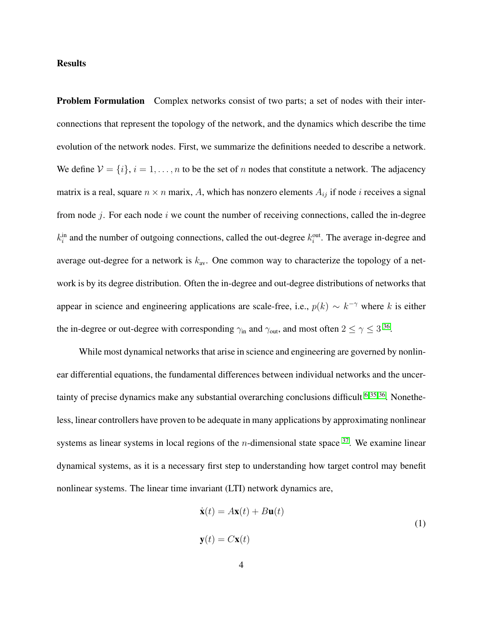## **Results**

Problem Formulation Complex networks consist of two parts; a set of nodes with their interconnections that represent the topology of the network, and the dynamics which describe the time evolution of the network nodes. First, we summarize the definitions needed to describe a network. We define  $V = \{i\}, i = 1, \ldots, n$  to be the set of n nodes that constitute a network. The adjacency matrix is a real, square  $n \times n$  marix, A, which has nonzero elements  $A_{ij}$  if node *i* receives a signal from node  $i$ . For each node  $i$  we count the number of receiving connections, called the in-degree  $k_i^{\text{in}}$  and the number of outgoing connections, called the out-degree  $k_i^{\text{out}}$ . The average in-degree and average out-degree for a network is  $k_{av}$ . One common way to characterize the topology of a network is by its degree distribution. Often the in-degree and out-degree distributions of networks that appear in science and engineering applications are scale-free, i.e.,  $p(k) \sim k^{-\gamma}$  where k is either the in-degree or out-degree with corresponding  $\gamma_{\rm in}$  and  $\gamma_{\rm out}$ , and most often  $2 \le \gamma \le 3^{36}$  $2 \le \gamma \le 3^{36}$  $2 \le \gamma \le 3^{36}$ .

While most dynamical networks that arise in science and engineering are governed by nonlinear differential equations, the fundamental differences between individual networks and the uncertainty of precise dynamics make any substantial overarching conclusions difficult  $6,35,36$  $6,35,36$ . Nonetheless, linear controllers have proven to be adequate in many applications by approximating nonlinear systems as linear systems in local regions of the *n*-dimensional state space  $37$ . We examine linear dynamical systems, as it is a necessary first step to understanding how target control may benefit nonlinear systems. The linear time invariant (LTI) network dynamics are,

<span id="page-3-0"></span>
$$
\dot{\mathbf{x}}(t) = A\mathbf{x}(t) + B\mathbf{u}(t)
$$
  

$$
\mathbf{y}(t) = C\mathbf{x}(t)
$$
 (1)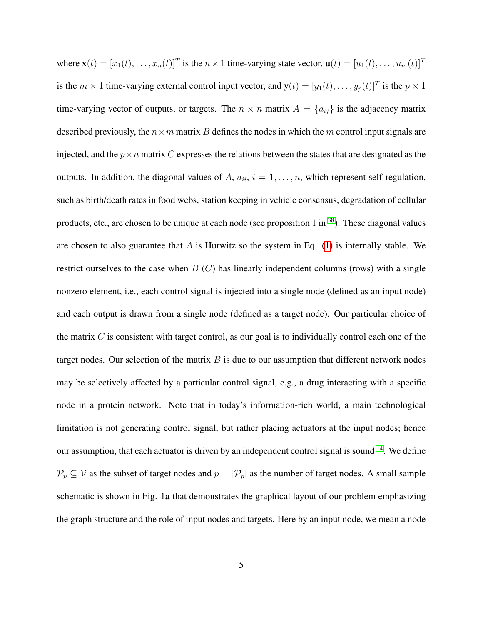where  $\mathbf{x}(t) = [x_1(t), \dots, x_n(t)]^T$  is the  $n \times 1$  time-varying state vector,  $\mathbf{u}(t) = [u_1(t), \dots, u_m(t)]^T$ is the  $m \times 1$  time-varying external control input vector, and  $\mathbf{y}(t) = [y_1(t), \dots, y_p(t)]^T$  is the  $p \times 1$ time-varying vector of outputs, or targets. The  $n \times n$  matrix  $A = \{a_{ij}\}\$ is the adjacency matrix described previously, the  $n \times m$  matrix B defines the nodes in which the m control input signals are injected, and the  $p \times n$  matrix C expresses the relations between the states that are designated as the outputs. In addition, the diagonal values of A,  $a_{ii}$ ,  $i = 1, \ldots, n$ , which represent self-regulation, such as birth/death rates in food webs, station keeping in vehicle consensus, degradation of cellular products, etc., are chosen to be unique at each node (see proposition 1 in <sup>[38](#page-25-7)</sup>). These diagonal values are chosen to also guarantee that  $A$  is Hurwitz so the system in Eq. [\(1\)](#page-3-0) is internally stable. We restrict ourselves to the case when  $B(C)$  has linearly independent columns (rows) with a single nonzero element, i.e., each control signal is injected into a single node (defined as an input node) and each output is drawn from a single node (defined as a target node). Our particular choice of the matrix  $C$  is consistent with target control, as our goal is to individually control each one of the target nodes. Our selection of the matrix  $B$  is due to our assumption that different network nodes may be selectively affected by a particular control signal, e.g., a drug interacting with a specific node in a protein network. Note that in today's information-rich world, a main technological limitation is not generating control signal, but rather placing actuators at the input nodes; hence our assumption, that each actuator is driven by an independent control signal is sound <sup>[14](#page-23-0)</sup>. We define  $\mathcal{P}_p \subseteq \mathcal{V}$  as the subset of target nodes and  $p = |\mathcal{P}_p|$  as the number of target nodes. A small sample schematic is shown in Fig. 1a that demonstrates the graphical layout of our problem emphasizing the graph structure and the role of input nodes and targets. Here by an input node, we mean a node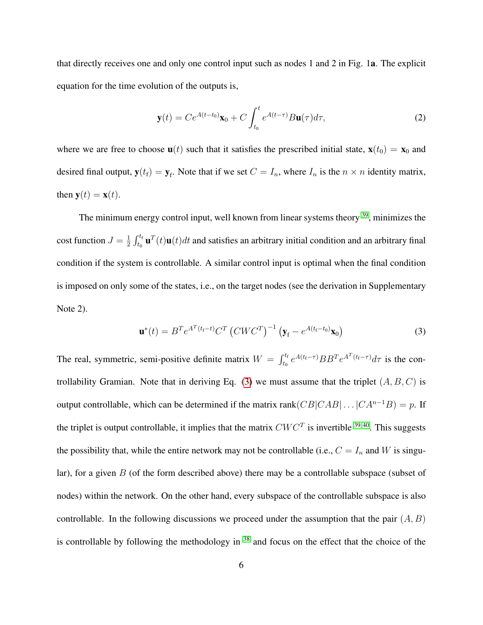that directly receives one and only one control input such as nodes 1 and 2 in Fig. 1a. The explicit equation for the time evolution of the outputs is,

$$
\mathbf{y}(t) = Ce^{A(t-t_0)}\mathbf{x}_0 + C \int_{t_0}^t e^{A(t-\tau)} B \mathbf{u}(\tau) d\tau,
$$
\n(2)

where we are free to choose  $\mathbf{u}(t)$  such that it satisfies the prescribed initial state,  $\mathbf{x}(t_0) = \mathbf{x}_0$  and desired final output,  $y(t_f) = y_f$ . Note that if we set  $C = I_n$ , where  $I_n$  is the  $n \times n$  identity matrix, then  $y(t) = x(t)$ .

The minimum energy control input, well known from linear systems theory <sup>[39](#page-25-8)</sup>, minimizes the cost function  $J=\frac{1}{2}$  $\frac{1}{2}\int_{t_0}^{t_f}\textbf{u}^T(t)\textbf{u}(t)dt$  and satisfies an arbitrary initial condition and an arbitrary final condition if the system is controllable. A similar control input is optimal when the final condition is imposed on only some of the states, i.e., on the target nodes (see the derivation in Supplementary Note 2).

<span id="page-5-0"></span>
$$
\mathbf{u}^*(t) = B^T e^{A^T(t_f - t)} C^T \left( C W C^T \right)^{-1} \left( \mathbf{y}_f - e^{A(t_f - t_0)} \mathbf{x}_0 \right)
$$
(3)

The real, symmetric, semi-positive definite matrix  $W = \int_{t_0}^{t_f} e^{A(t_f - \tau)} BB^T e^{A^T(t_f - \tau)} d\tau$  is the con-trollability Gramian. Note that in deriving Eq. [\(3\)](#page-5-0) we must assume that the triplet  $(A, B, C)$  is output controllable, which can be determined if the matrix rank $(CB|CAB|...|C A^{n-1}B) = p$ . If the triplet is output controllable, it implies that the matrix  $CWC<sup>T</sup>$  is invertible <sup>[39,](#page-25-8)40</sup>. This suggests the possibility that, while the entire network may not be controllable (i.e.,  $C = I_n$  and W is singular), for a given  $B$  (of the form described above) there may be a controllable subspace (subset of nodes) within the network. On the other hand, every subspace of the controllable subspace is also controllable. In the following discussions we proceed under the assumption that the pair  $(A, B)$ is controllable by following the methodology in <sup>[38](#page-25-7)</sup> and focus on the effect that the choice of the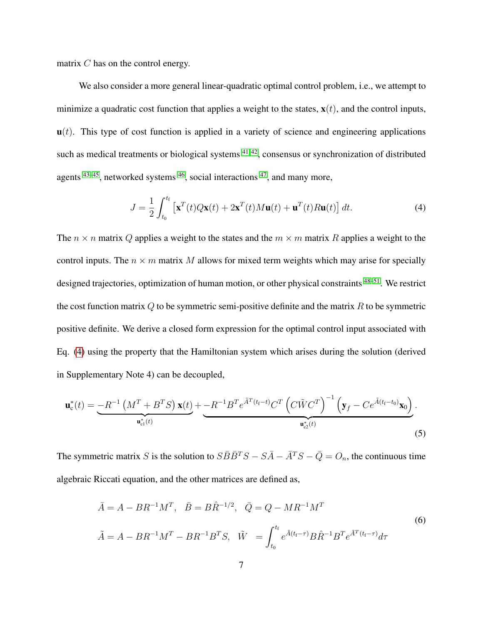matrix C has on the control energy.

We also consider a more general linear-quadratic optimal control problem, i.e., we attempt to minimize a quadratic cost function that applies a weight to the states,  $\mathbf{x}(t)$ , and the control inputs,  $\mathbf{u}(t)$ . This type of cost function is applied in a variety of science and engineering applications such as medical treatments or biological systems  $41, 42$  $41, 42$ , consensus or synchronization of distributed agents  $43-45$  $43-45$ , networked systems  $46$ , social interactions  $47$ , and many more,

<span id="page-6-0"></span>
$$
J = \frac{1}{2} \int_{t_0}^{t_f} \left[ \mathbf{x}^T(t) Q \mathbf{x}(t) + 2 \mathbf{x}^T(t) M \mathbf{u}(t) + \mathbf{u}^T(t) R \mathbf{u}(t) \right] dt.
$$
 (4)

The  $n \times n$  matrix Q applies a weight to the states and the  $m \times m$  matrix R applies a weight to the control inputs. The  $n \times m$  matrix M allows for mixed term weights which may arise for specially designed trajectories, optimization of human motion, or other physical constraints <sup>[48–](#page-27-0)[51](#page-27-1)</sup>. We restrict the cost function matrix  $Q$  to be symmetric semi-positive definite and the matrix  $R$  to be symmetric positive definite. We derive a closed form expression for the optimal control input associated with Eq. [\(4\)](#page-6-0) using the property that the Hamiltonian system which arises during the solution (derived in Supplementary Note 4) can be decoupled,

<span id="page-6-1"></span>
$$
\mathbf{u}_{\rm c}^*(t) = \underbrace{-R^{-1}\left(M^T + B^TS\right)\mathbf{x}(t)}_{\mathbf{u}_{\rm c1}^*(t)} + \underbrace{-R^{-1}B^Te^{\tilde{A}^T(t_{\rm f}-t)}C^T\left(C\tilde{W}C^T\right)^{-1}\left(\mathbf{y}_f - Ce^{\tilde{A}(t_{\rm f}-t_0)}\mathbf{x}_0\right)}_{\mathbf{u}_{\rm c2}^*(t)}.
$$
\n(5)

The symmetric matrix S is the solution to  $S\overline{B}\overline{B}^{T}S - S\overline{A} - \overline{A}^{T}S - \overline{Q} = O_{n}$ , the continuous time algebraic Riccati equation, and the other matrices are defined as,

<span id="page-6-2"></span>
$$
\bar{A} = A - BR^{-1}M^{T}, \quad \bar{B} = B\hat{R}^{-1/2}, \quad \bar{Q} = Q - MR^{-1}M^{T}
$$
\n
$$
\tilde{A} = A - BR^{-1}M^{T} - BR^{-1}B^{T}S, \quad \tilde{W} = \int_{t_{0}}^{t_{f}} e^{\tilde{A}(t_{f} - \tau)} B\hat{R}^{-1}B^{T} e^{\tilde{A}^{T}(t_{f} - \tau)} d\tau
$$
\n(6)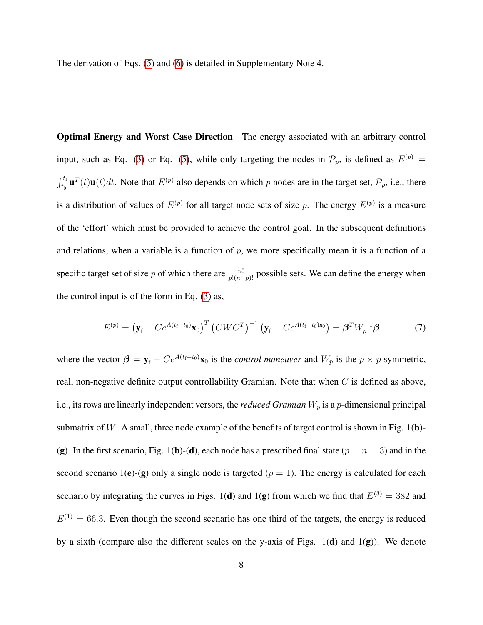The derivation of Eqs. [\(5\)](#page-6-1) and [\(6\)](#page-6-2) is detailed in Supplementary Note 4.

Optimal Energy and Worst Case Direction The energy associated with an arbitrary control input, such as Eq. [\(3\)](#page-5-0) or Eq. [\(5\)](#page-6-1), while only targeting the nodes in  $\mathcal{P}_p$ , is defined as  $E^{(p)}$  =  $\int_{t_0}^{t_f} \mathbf{u}^T(t)\mathbf{u}(t)dt$ . Note that  $E^{(p)}$  also depends on which p nodes are in the target set,  $\mathcal{P}_p$ , i.e., there is a distribution of values of  $E^{(p)}$  for all target node sets of size p. The energy  $E^{(p)}$  is a measure of the 'effort' which must be provided to achieve the control goal. In the subsequent definitions and relations, when a variable is a function of  $p$ , we more specifically mean it is a function of a specific target set of size p of which there are  $\frac{n!}{p!(n-p)!}$  possible sets. We can define the energy when the control input is of the form in Eq. [\(3\)](#page-5-0) as,

<span id="page-7-0"></span>
$$
E^{(p)} = \left(\mathbf{y}_{\rm f} - Ce^{A(t_{\rm f}-t_0)}\mathbf{x}_0\right)^T \left(CWC^T\right)^{-1} \left(\mathbf{y}_{\rm f} - Ce^{A(t_{\rm f}-t_0)\mathbf{x}_0}\right) = \boldsymbol{\beta}^T W_p^{-1} \boldsymbol{\beta} \tag{7}
$$

where the vector  $\beta = y_f - Ce^{A(t_f-t_0)}x_0$  is the *control maneuver* and  $W_p$  is the  $p \times p$  symmetric, real, non-negative definite output controllability Gramian. Note that when  $C$  is defined as above, i.e., its rows are linearly independent versors, the *reduced Gramian*  $W_p$  is a p-dimensional principal submatrix of W. A small, three node example of the benefits of target control is shown in Fig. 1(b)-(g). In the first scenario, Fig. 1(b)-(d), each node has a prescribed final state ( $p = n = 3$ ) and in the second scenario 1(e)-(g) only a single node is targeted ( $p = 1$ ). The energy is calculated for each scenario by integrating the curves in Figs. 1(d) and 1(g) from which we find that  $E^{(3)} = 382$  and  $E^{(1)} = 66.3$ . Even though the second scenario has one third of the targets, the energy is reduced by a sixth (compare also the different scales on the y-axis of Figs.  $1(d)$  and  $1(g)$ ). We denote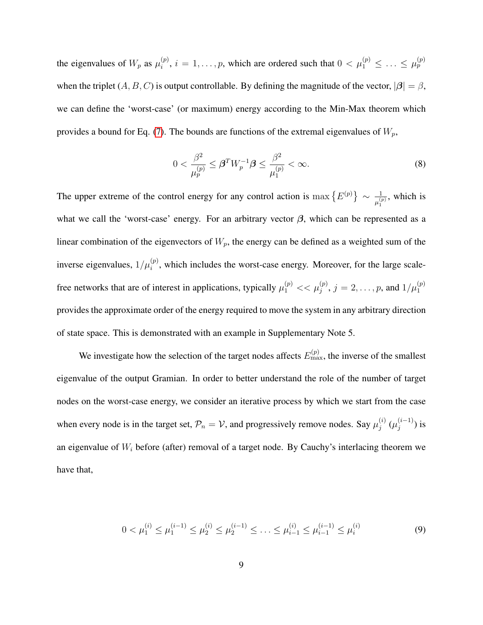the eigenvalues of  $W_p$  as  $\mu_i^{(p)}$  $\hat{u}_i^{(p)}$ ,  $i = 1, \ldots, p$ , which are ordered such that  $0 < \mu_1^{(p)} \leq \ldots \leq \mu_p^{(p)}$ when the triplet  $(A, B, C)$  is output controllable. By defining the magnitude of the vector,  $|\beta| = \beta$ , we can define the 'worst-case' (or maximum) energy according to the Min-Max theorem which provides a bound for Eq. [\(7\)](#page-7-0). The bounds are functions of the extremal eigenvalues of  $W_p$ ,

$$
0 < \frac{\beta^2}{\mu_p^{(p)}} \le \beta^T W_p^{-1} \beta \le \frac{\beta^2}{\mu_1^{(p)}} < \infty. \tag{8}
$$

The upper extreme of the control energy for any control action is  $\max \{E^{(p)}\} \sim \frac{1}{\mu^{(p)}_n}$  $\frac{1}{\mu_1^{(p)}}$ , which is what we call the 'worst-case' energy. For an arbitrary vector  $\beta$ , which can be represented as a linear combination of the eigenvectors of  $W_p$ , the energy can be defined as a weighted sum of the inverse eigenvalues,  $1/\mu_i^{(p)}$ , which includes the worst-case energy. Moreover, for the large scalefree networks that are of interest in applications, typically  $\mu_1^{(p)} \ll \mu_j^{(p)}$ ,  $j = 2, \ldots, p$ , and  $1/\mu_1^{(p)}$ provides the approximate order of the energy required to move the system in any arbitrary direction of state space. This is demonstrated with an example in Supplementary Note 5.

We investigate how the selection of the target nodes affects  $E_{\text{max}}^{(p)}$ , the inverse of the smallest eigenvalue of the output Gramian. In order to better understand the role of the number of target nodes on the worst-case energy, we consider an iterative process by which we start from the case when every node is in the target set,  $\mathcal{P}_n = \mathcal{V}$ , and progressively remove nodes. Say  $\mu_j^{(i)}$  $_j^{(i)}$   $(\mu_j^{(i-1)}$  $j^{(i-1)}$ ) is an eigenvalue of  $W_i$  before (after) removal of a target node. By Cauchy's interlacing theorem we have that,

<span id="page-8-0"></span>
$$
0 < \mu_1^{(i)} \le \mu_1^{(i-1)} \le \mu_2^{(i)} \le \mu_2^{(i-1)} \le \ldots \le \mu_{i-1}^{(i)} \le \mu_{i-1}^{(i-1)} \le \mu_i^{(i)} \tag{9}
$$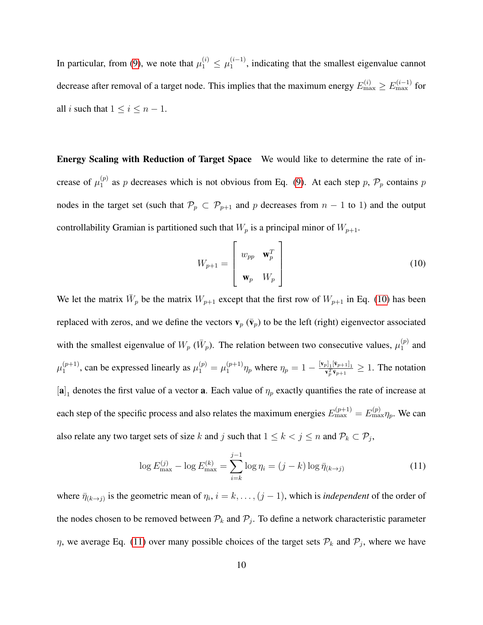In particular, from [\(9\)](#page-8-0), we note that  $\mu_1^{(i)} \le \mu_1^{(i-1)}$  $\binom{n-1}{1}$ , indicating that the smallest eigenvalue cannot decrease after removal of a target node. This implies that the maximum energy  $E_{\text{max}}^{(i)} \ge E_{\text{max}}^{(i-1)}$  for all *i* such that  $1 \leq i \leq n-1$ .

Energy Scaling with Reduction of Target Space We would like to determine the rate of increase of  $\mu_1^{(p)}$  $1<sup>(p)</sup>$  as p decreases which is not obvious from Eq. [\(9\)](#page-8-0). At each step p,  $\mathcal{P}_p$  contains p nodes in the target set (such that  $\mathcal{P}_p \subset \mathcal{P}_{p+1}$  and p decreases from  $n-1$  to 1) and the output controllability Gramian is partitioned such that  $W_p$  is a principal minor of  $W_{p+1}$ .

<span id="page-9-0"></span>
$$
W_{p+1} = \begin{bmatrix} w_{pp} & \mathbf{w}_p^T \\ \mathbf{w}_p & W_p \end{bmatrix}
$$
 (10)

We let the matrix  $\bar{W}_p$  be the matrix  $W_{p+1}$  except that the first row of  $W_{p+1}$  in Eq. [\(10\)](#page-9-0) has been replaced with zeros, and we define the vectors  $\mathbf{v}_p$  ( $\bar{\mathbf{v}}_p$ ) to be the left (right) eigenvector associated with the smallest eigenvalue of  $W_p$  ( $\bar{W}_p$ ). The relation between two consecutive values,  $\mu_1^{(p)}$  $1^{(p)}$  and  $\mu_1^{(p+1)}$  $\mu_1^{(p+1)}$ , can be expressed linearly as  $\mu_1^{(p)} = \mu_1^{(p+1)}$  $\sum_{1}^{(p+1)} \eta_p$  where  $\eta_p = 1 - \frac{[v_p]_1 [\bar{v}_{p+1}]_1}{v_p^T \bar{v}_{p+1}} \ge 1$ . The notation  $[a]_1$  denotes the first value of a vector **a**. Each value of  $\eta_p$  exactly quantifies the rate of increase at each step of the specific process and also relates the maximum energies  $E_{\text{max}}^{(p+1)} = E_{\text{max}}^{(p)} \eta_p$ . We can also relate any two target sets of size k and j such that  $1 \le k < j \le n$  and  $\mathcal{P}_k \subset \mathcal{P}_j$ ,

<span id="page-9-1"></span>
$$
\log E_{\text{max}}^{(j)} - \log E_{\text{max}}^{(k)} = \sum_{i=k}^{j-1} \log \eta_i = (j-k) \log \bar{\eta}_{(k\to j)}
$$
(11)

where  $\bar{\eta}_{(k\to j)}$  is the geometric mean of  $\eta_i$ ,  $i = k, \ldots, (j-1)$ , which is *independent* of the order of the nodes chosen to be removed between  $\mathcal{P}_k$  and  $\mathcal{P}_j$ . To define a network characteristic parameter  $\eta$ , we average Eq. [\(11\)](#page-9-1) over many possible choices of the target sets  $\mathcal{P}_k$  and  $\mathcal{P}_j$ , where we have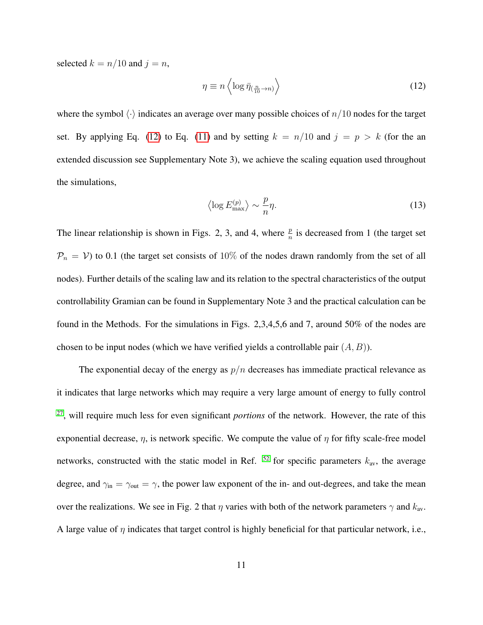selected  $k = n/10$  and  $j = n$ ,

<span id="page-10-0"></span>
$$
\eta \equiv n \left\langle \log \bar{\eta}_{\left(\frac{n}{10} \to n\right)} \right\rangle \tag{12}
$$

where the symbol  $\langle \cdot \rangle$  indicates an average over many possible choices of  $n/10$  nodes for the target set. By applying Eq. [\(12\)](#page-10-0) to Eq. [\(11\)](#page-9-1) and by setting  $k = n/10$  and  $j = p > k$  (for the an extended discussion see Supplementary Note 3), we achieve the scaling equation used throughout the simulations,

$$
\left\langle \log E_{\text{max}}^{(p)} \right\rangle \sim \frac{p}{n}\eta. \tag{13}
$$

The linear relationship is shown in Figs. 2, 3, and 4, where  $\frac{p}{n}$  is decreased from 1 (the target set  $P_n = V$ ) to 0.1 (the target set consists of 10% of the nodes drawn randomly from the set of all nodes). Further details of the scaling law and its relation to the spectral characteristics of the output controllability Gramian can be found in Supplementary Note 3 and the practical calculation can be found in the Methods. For the simulations in Figs. 2,3,4,5,6 and 7, around 50% of the nodes are chosen to be input nodes (which we have verified yields a controllable pair  $(A, B)$ ).

The exponential decay of the energy as  $p/n$  decreases has immediate practical relevance as it indicates that large networks which may require a very large amount of energy to fully control [27](#page-24-6), will require much less for even significant *portions* of the network. However, the rate of this exponential decrease,  $\eta$ , is network specific. We compute the value of  $\eta$  for fifty scale-free model networks, constructed with the static model in Ref.  $52$  for specific parameters  $k_{\text{av}}$ , the average degree, and  $\gamma_{\rm in} = \gamma_{\rm out} = \gamma$ , the power law exponent of the in- and out-degrees, and take the mean over the realizations. We see in Fig. 2 that  $\eta$  varies with both of the network parameters  $\gamma$  and  $k_{av}$ . A large value of  $\eta$  indicates that target control is highly beneficial for that particular network, i.e.,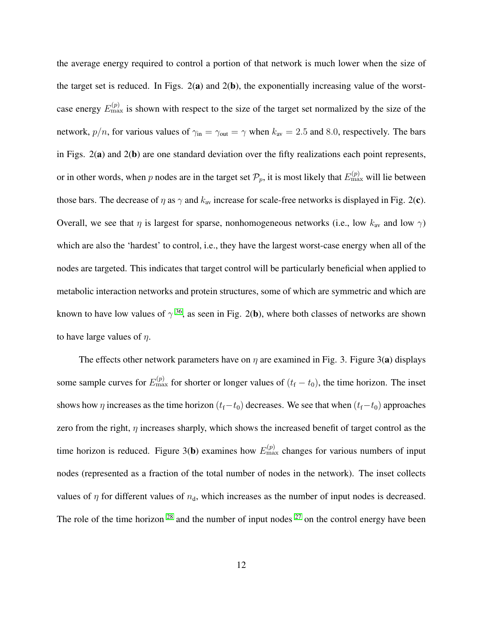the average energy required to control a portion of that network is much lower when the size of the target set is reduced. In Figs.  $2(a)$  and  $2(b)$ , the exponentially increasing value of the worstcase energy  $E_{\text{max}}^{(p)}$  is shown with respect to the size of the target set normalized by the size of the network,  $p/n$ , for various values of  $\gamma_{\rm in} = \gamma_{\rm out} = \gamma$  when  $k_{\rm av} = 2.5$  and 8.0, respectively. The bars in Figs.  $2(a)$  and  $2(b)$  are one standard deviation over the fifty realizations each point represents, or in other words, when p nodes are in the target set  $\mathcal{P}_p$ , it is most likely that  $E_{\max}^{(p)}$  will lie between those bars. The decrease of  $\eta$  as  $\gamma$  and  $k_{av}$  increase for scale-free networks is displayed in Fig. 2(c). Overall, we see that  $\eta$  is largest for sparse, nonhomogeneous networks (i.e., low  $k_{av}$  and low  $\gamma$ ) which are also the 'hardest' to control, i.e., they have the largest worst-case energy when all of the nodes are targeted. This indicates that target control will be particularly beneficial when applied to metabolic interaction networks and protein structures, some of which are symmetric and which are known to have low values of  $\gamma^{36}$  $\gamma^{36}$  $\gamma^{36}$ , as seen in Fig. 2(b), where both classes of networks are shown to have large values of  $\eta$ .

The effects other network parameters have on  $\eta$  are examined in Fig. 3. Figure 3(a) displays some sample curves for  $E_{\text{max}}^{(p)}$  for shorter or longer values of  $(t_f - t_0)$ , the time horizon. The inset shows how  $\eta$  increases as the time horizon ( $t_f-t_0$ ) decreases. We see that when ( $t_f-t_0$ ) approaches zero from the right,  $\eta$  increases sharply, which shows the increased benefit of target control as the time horizon is reduced. Figure 3(b) examines how  $E_{\text{max}}^{(p)}$  changes for various numbers of input nodes (represented as a fraction of the total number of nodes in the network). The inset collects values of  $\eta$  for different values of  $n_d$ , which increases as the number of input nodes is decreased. The role of the time horizon  $28$  and the number of input nodes  $27$  on the control energy have been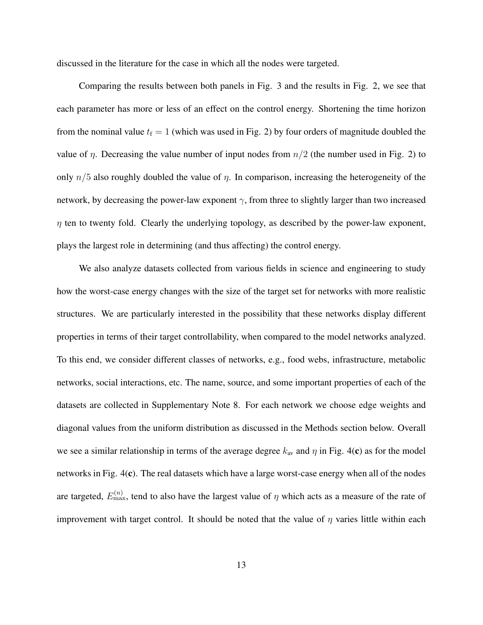discussed in the literature for the case in which all the nodes were targeted.

Comparing the results between both panels in Fig. 3 and the results in Fig. 2, we see that each parameter has more or less of an effect on the control energy. Shortening the time horizon from the nominal value  $t_f = 1$  (which was used in Fig. 2) by four orders of magnitude doubled the value of  $\eta$ . Decreasing the value number of input nodes from  $n/2$  (the number used in Fig. 2) to only  $n/5$  also roughly doubled the value of  $\eta$ . In comparison, increasing the heterogeneity of the network, by decreasing the power-law exponent  $\gamma$ , from three to slightly larger than two increased  $\eta$  ten to twenty fold. Clearly the underlying topology, as described by the power-law exponent, plays the largest role in determining (and thus affecting) the control energy.

We also analyze datasets collected from various fields in science and engineering to study how the worst-case energy changes with the size of the target set for networks with more realistic structures. We are particularly interested in the possibility that these networks display different properties in terms of their target controllability, when compared to the model networks analyzed. To this end, we consider different classes of networks, e.g., food webs, infrastructure, metabolic networks, social interactions, etc. The name, source, and some important properties of each of the datasets are collected in Supplementary Note 8. For each network we choose edge weights and diagonal values from the uniform distribution as discussed in the Methods section below. Overall we see a similar relationship in terms of the average degree  $k_{av}$  and  $\eta$  in Fig. 4(c) as for the model networks in Fig. 4(c). The real datasets which have a large worst-case energy when all of the nodes are targeted,  $E_{\text{max}}^{(n)}$ , tend to also have the largest value of  $\eta$  which acts as a measure of the rate of improvement with target control. It should be noted that the value of  $\eta$  varies little within each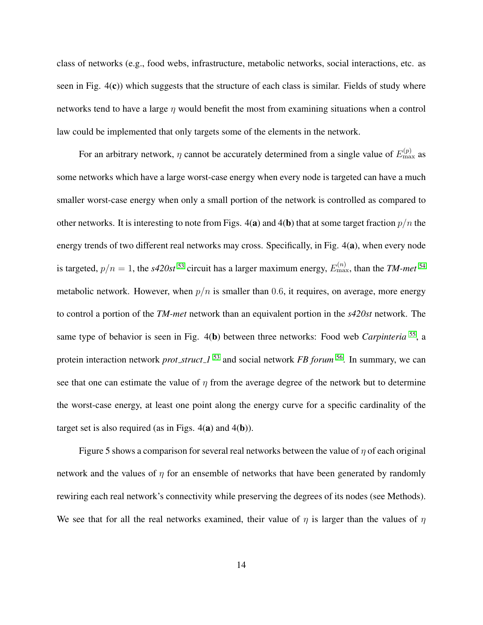class of networks (e.g., food webs, infrastructure, metabolic networks, social interactions, etc. as seen in Fig.  $4(c)$ ) which suggests that the structure of each class is similar. Fields of study where networks tend to have a large  $\eta$  would benefit the most from examining situations when a control law could be implemented that only targets some of the elements in the network.

For an arbitrary network,  $\eta$  cannot be accurately determined from a single value of  $E_{\text{max}}^{(p)}$  as some networks which have a large worst-case energy when every node is targeted can have a much smaller worst-case energy when only a small portion of the network is controlled as compared to other networks. It is interesting to note from Figs. 4(a) and 4(b) that at some target fraction  $p/n$  the energy trends of two different real networks may cross. Specifically, in Fig. 4(a), when every node is targeted,  $p/n = 1$ , the *s420st* <sup>[53](#page-27-3)</sup> circuit has a larger maximum energy,  $E_{\text{max}}^{(n)}$ , than the *TM-met* <sup>[54](#page-27-4)</sup> metabolic network. However, when  $p/n$  is smaller than 0.6, it requires, on average, more energy to control a portion of the *TM-met* network than an equivalent portion in the *s420st* network. The same type of behavior is seen in Fig. 4(b) between three networks: Food web *Carpinteria* [55](#page-27-5), a protein interaction network *prot struct 1* [53](#page-27-3) and social network *FB forum* [56](#page-28-0). In summary, we can see that one can estimate the value of  $\eta$  from the average degree of the network but to determine the worst-case energy, at least one point along the energy curve for a specific cardinality of the target set is also required (as in Figs.  $4(a)$  and  $4(b)$ ).

Figure 5 shows a comparison for several real networks between the value of  $\eta$  of each original network and the values of  $\eta$  for an ensemble of networks that have been generated by randomly rewiring each real network's connectivity while preserving the degrees of its nodes (see Methods). We see that for all the real networks examined, their value of  $\eta$  is larger than the values of  $\eta$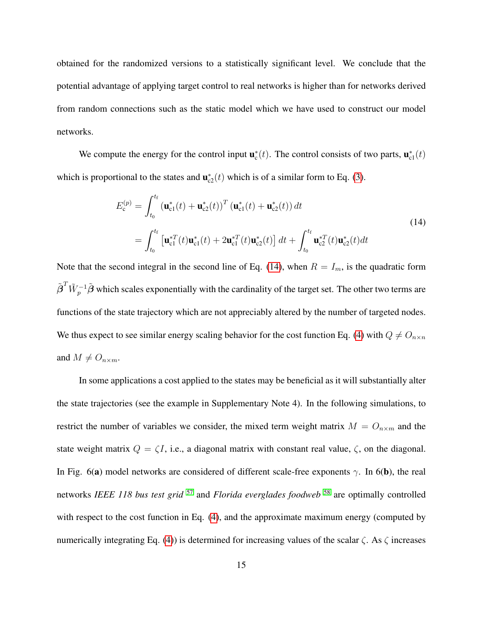obtained for the randomized versions to a statistically significant level. We conclude that the potential advantage of applying target control to real networks is higher than for networks derived from random connections such as the static model which we have used to construct our model networks.

We compute the energy for the control input  $\mathbf{u}_c^*(t)$ . The control consists of two parts,  $\mathbf{u}_{c1}^*(t)$ which is proportional to the states and  $\mathbf{u}_{c2}^*(t)$  which is of a similar form to Eq. [\(3\)](#page-5-0).

<span id="page-14-0"></span>
$$
E_c^{(p)} = \int_{t_0}^{t_f} \left( \mathbf{u}_{c1}^*(t) + \mathbf{u}_{c2}^*(t) \right)^T \left( \mathbf{u}_{c1}^*(t) + \mathbf{u}_{c2}^*(t) \right) dt
$$
  
= 
$$
\int_{t_0}^{t_f} \left[ \mathbf{u}_{c1}^{*T}(t) \mathbf{u}_{c1}^*(t) + 2 \mathbf{u}_{c1}^{*T}(t) \mathbf{u}_{c2}^*(t) \right] dt + \int_{t_0}^{t_f} \mathbf{u}_{c2}^{*T}(t) \mathbf{u}_{c2}^*(t) dt
$$
 (14)

Note that the second integral in the second line of Eq. [\(14\)](#page-14-0), when  $R = I_m$ , is the quadratic form  ${\tilde{\beta}}^T \tilde{W}_p^{-1}\tilde{\beta}$  which scales exponentially with the cardinality of the target set. The other two terms are functions of the state trajectory which are not appreciably altered by the number of targeted nodes. We thus expect to see similar energy scaling behavior for the cost function Eq. [\(4\)](#page-6-0) with  $Q \neq O_{n \times n}$ and  $M \neq O_{n \times m}$ .

In some applications a cost applied to the states may be beneficial as it will substantially alter the state trajectories (see the example in Supplementary Note 4). In the following simulations, to restrict the number of variables we consider, the mixed term weight matrix  $M = O_{n \times m}$  and the state weight matrix  $Q = \zeta I$ , i.e., a diagonal matrix with constant real value,  $\zeta$ , on the diagonal. In Fig. 6(a) model networks are considered of different scale-free exponents  $\gamma$ . In 6(b), the real networks *IEEE 118 bus test grid* [57](#page-28-1) and *Florida everglades foodweb* [58](#page-28-2) are optimally controlled with respect to the cost function in Eq. [\(4\)](#page-6-0), and the approximate maximum energy (computed by numerically integrating Eq. [\(4\)](#page-6-0)) is determined for increasing values of the scalar  $\zeta$ . As  $\zeta$  increases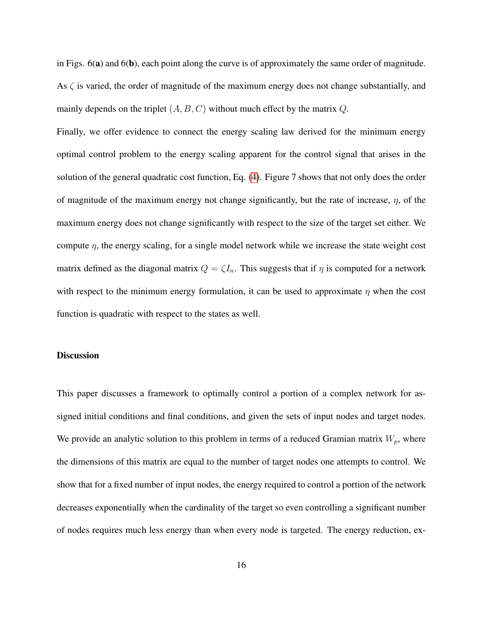in Figs.  $6(a)$  and  $6(b)$ , each point along the curve is of approximately the same order of magnitude. As  $\zeta$  is varied, the order of magnitude of the maximum energy does not change substantially, and mainly depends on the triplet  $(A, B, C)$  without much effect by the matrix  $Q$ .

Finally, we offer evidence to connect the energy scaling law derived for the minimum energy optimal control problem to the energy scaling apparent for the control signal that arises in the solution of the general quadratic cost function, Eq. [\(4\)](#page-6-0). Figure 7 shows that not only does the order of magnitude of the maximum energy not change significantly, but the rate of increase,  $\eta$ , of the maximum energy does not change significantly with respect to the size of the target set either. We compute  $\eta$ , the energy scaling, for a single model network while we increase the state weight cost matrix defined as the diagonal matrix  $Q = \zeta I_n$ . This suggests that if  $\eta$  is computed for a network with respect to the minimum energy formulation, it can be used to approximate  $\eta$  when the cost function is quadratic with respect to the states as well.

## **Discussion**

This paper discusses a framework to optimally control a portion of a complex network for assigned initial conditions and final conditions, and given the sets of input nodes and target nodes. We provide an analytic solution to this problem in terms of a reduced Gramian matrix  $W_p$ , where the dimensions of this matrix are equal to the number of target nodes one attempts to control. We show that for a fixed number of input nodes, the energy required to control a portion of the network decreases exponentially when the cardinality of the target so even controlling a significant number of nodes requires much less energy than when every node is targeted. The energy reduction, ex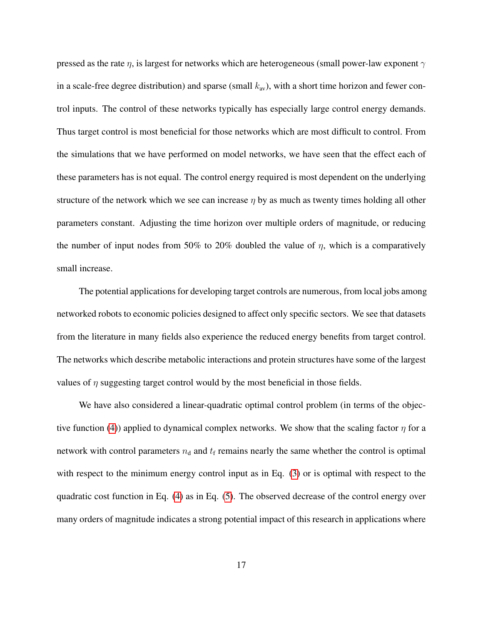pressed as the rate  $\eta$ , is largest for networks which are heterogeneous (small power-law exponent  $\gamma$ in a scale-free degree distribution) and sparse (small  $k_{av}$ ), with a short time horizon and fewer control inputs. The control of these networks typically has especially large control energy demands. Thus target control is most beneficial for those networks which are most difficult to control. From the simulations that we have performed on model networks, we have seen that the effect each of these parameters has is not equal. The control energy required is most dependent on the underlying structure of the network which we see can increase  $\eta$  by as much as twenty times holding all other parameters constant. Adjusting the time horizon over multiple orders of magnitude, or reducing the number of input nodes from 50% to 20% doubled the value of  $\eta$ , which is a comparatively small increase.

The potential applications for developing target controls are numerous, from local jobs among networked robots to economic policies designed to affect only specific sectors. We see that datasets from the literature in many fields also experience the reduced energy benefits from target control. The networks which describe metabolic interactions and protein structures have some of the largest values of  $\eta$  suggesting target control would by the most beneficial in those fields.

We have also considered a linear-quadratic optimal control problem (in terms of the objec-tive function [\(4\)](#page-6-0)) applied to dynamical complex networks. We show that the scaling factor  $\eta$  for a network with control parameters  $n_d$  and  $t_f$  remains nearly the same whether the control is optimal with respect to the minimum energy control input as in Eq. [\(3\)](#page-5-0) or is optimal with respect to the quadratic cost function in Eq. [\(4\)](#page-6-0) as in Eq. [\(5\)](#page-6-1). The observed decrease of the control energy over many orders of magnitude indicates a strong potential impact of this research in applications where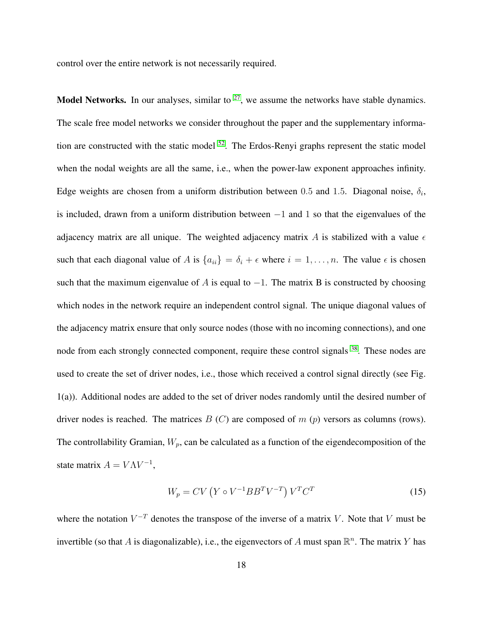control over the entire network is not necessarily required.

**Model Networks.** In our analyses, similar to  $27$ , we assume the networks have stable dynamics. The scale free model networks we consider throughout the paper and the supplementary information are constructed with the static model  $52$ . The Erdos-Renyi graphs represent the static model when the nodal weights are all the same, i.e., when the power-law exponent approaches infinity. Edge weights are chosen from a uniform distribution between 0.5 and 1.5. Diagonal noise,  $\delta_i$ , is included, drawn from a uniform distribution between −1 and 1 so that the eigenvalues of the adjacency matrix are all unique. The weighted adjacency matrix A is stabilized with a value  $\epsilon$ such that each diagonal value of A is  $\{a_{ii}\} = \delta_i + \epsilon$  where  $i = 1, \ldots, n$ . The value  $\epsilon$  is chosen such that the maximum eigenvalue of A is equal to  $-1$ . The matrix B is constructed by choosing which nodes in the network require an independent control signal. The unique diagonal values of the adjacency matrix ensure that only source nodes (those with no incoming connections), and one node from each strongly connected component, require these control signals <sup>[38](#page-25-7)</sup>. These nodes are used to create the set of driver nodes, i.e., those which received a control signal directly (see Fig. 1(a)). Additional nodes are added to the set of driver nodes randomly until the desired number of driver nodes is reached. The matrices  $B(C)$  are composed of  $m(p)$  versors as columns (rows). The controllability Gramian,  $W_p$ , can be calculated as a function of the eigendecomposition of the state matrix  $A = V\Lambda V^{-1}$ ,

$$
W_p = CV\left(Y \circ V^{-1}BB^T V^{-T}\right) V^T C^T \tag{15}
$$

where the notation  $V^{-T}$  denotes the transpose of the inverse of a matrix V. Note that V must be invertible (so that A is diagonalizable), i.e., the eigenvectors of A must span  $\mathbb{R}^n$ . The matrix Y has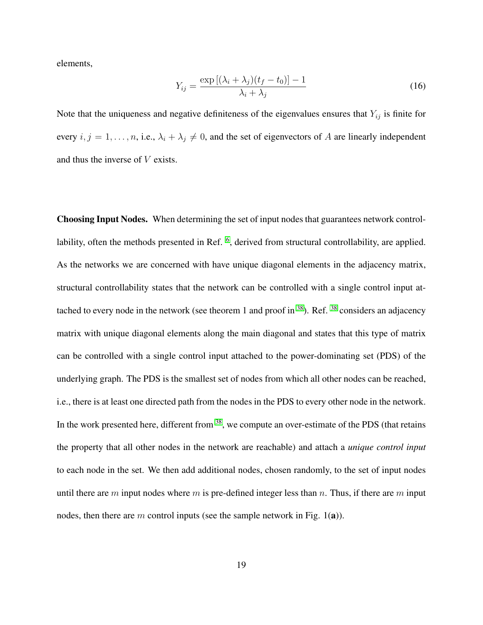elements,

$$
Y_{ij} = \frac{\exp\left[ (\lambda_i + \lambda_j)(t_f - t_0) \right] - 1}{\lambda_i + \lambda_j} \tag{16}
$$

Note that the uniqueness and negative definiteness of the eigenvalues ensures that  $Y_{ij}$  is finite for every  $i, j = 1, \ldots, n$ , i.e.,  $\lambda_i + \lambda_j \neq 0$ , and the set of eigenvectors of A are linearly independent and thus the inverse of V exists.

Choosing Input Nodes. When determining the set of input nodes that guarantees network control-lability, often the methods presented in Ref. <sup>[6](#page-22-1)</sup>, derived from structural controllability, are applied. As the networks we are concerned with have unique diagonal elements in the adjacency matrix, structural controllability states that the network can be controlled with a single control input at-tached to every node in the network (see theorem 1 and proof in <sup>[38](#page-25-7)</sup>). Ref. <sup>38</sup> considers an adjacency matrix with unique diagonal elements along the main diagonal and states that this type of matrix can be controlled with a single control input attached to the power-dominating set (PDS) of the underlying graph. The PDS is the smallest set of nodes from which all other nodes can be reached, i.e., there is at least one directed path from the nodes in the PDS to every other node in the network. In the work presented here, different from  $38$ , we compute an over-estimate of the PDS (that retains the property that all other nodes in the network are reachable) and attach a *unique control input* to each node in the set. We then add additional nodes, chosen randomly, to the set of input nodes until there are m input nodes where m is pre-defined integer less than n. Thus, if there are m input nodes, then there are m control inputs (see the sample network in Fig. 1(a)).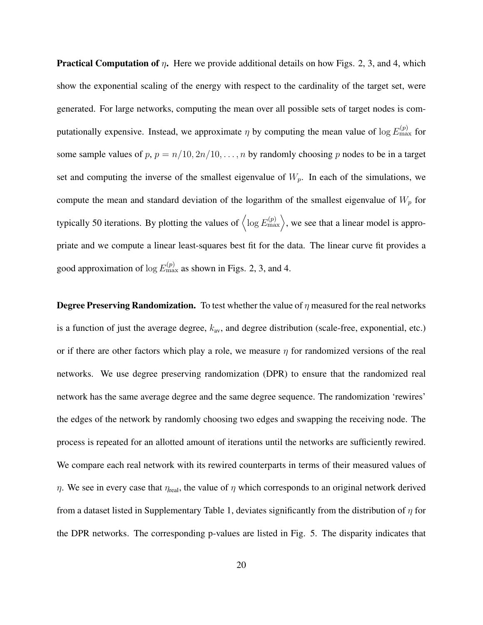**Practical Computation of**  $\eta$ **.** Here we provide additional details on how Figs. 2, 3, and 4, which show the exponential scaling of the energy with respect to the cardinality of the target set, were generated. For large networks, computing the mean over all possible sets of target nodes is computationally expensive. Instead, we approximate  $\eta$  by computing the mean value of log  $E_{\rm max}^{(p)}$  for some sample values of  $p, p = n/10, 2n/10, \ldots, n$  by randomly choosing p nodes to be in a target set and computing the inverse of the smallest eigenvalue of  $W_p$ . In each of the simulations, we compute the mean and standard deviation of the logarithm of the smallest eigenvalue of  $W_p$  for typically 50 iterations. By plotting the values of  $\langle \log E_{\rm max}^{(p)} \rangle$ , we see that a linear model is appropriate and we compute a linear least-squares best fit for the data. The linear curve fit provides a good approximation of  $\log E_{\text{max}}^{(p)}$  as shown in Figs. 2, 3, and 4.

**Degree Preserving Randomization.** To test whether the value of  $\eta$  measured for the real networks is a function of just the average degree,  $k_{av}$ , and degree distribution (scale-free, exponential, etc.) or if there are other factors which play a role, we measure  $\eta$  for randomized versions of the real networks. We use degree preserving randomization (DPR) to ensure that the randomized real network has the same average degree and the same degree sequence. The randomization 'rewires' the edges of the network by randomly choosing two edges and swapping the receiving node. The process is repeated for an allotted amount of iterations until the networks are sufficiently rewired. We compare each real network with its rewired counterparts in terms of their measured values of  $η$ . We see in every case that  $η_{real}$ , the value of  $η$  which corresponds to an original network derived from a dataset listed in Supplementary Table 1, deviates significantly from the distribution of  $\eta$  for the DPR networks. The corresponding p-values are listed in Fig. 5. The disparity indicates that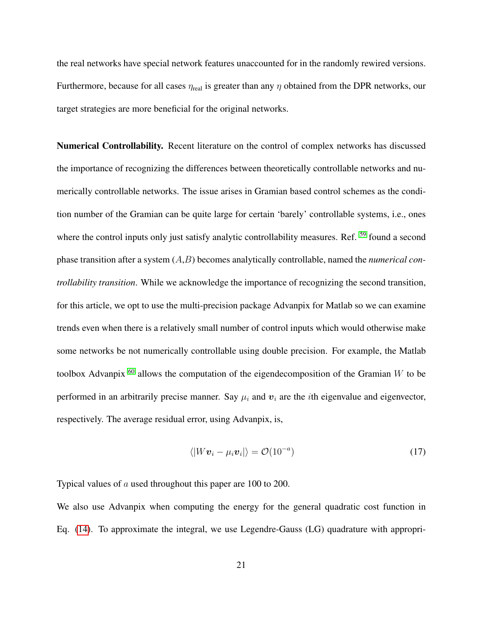the real networks have special network features unaccounted for in the randomly rewired versions. Furthermore, because for all cases  $\eta_{\text{real}}$  is greater than any  $\eta$  obtained from the DPR networks, our target strategies are more beneficial for the original networks.

Numerical Controllability. Recent literature on the control of complex networks has discussed the importance of recognizing the differences between theoretically controllable networks and numerically controllable networks. The issue arises in Gramian based control schemes as the condition number of the Gramian can be quite large for certain 'barely' controllable systems, i.e., ones where the control inputs only just satisfy analytic controllability measures. Ref. <sup>[59](#page-28-3)</sup> found a second phase transition after a system (A,B) becomes analytically controllable, named the *numerical controllability transition*. While we acknowledge the importance of recognizing the second transition, for this article, we opt to use the multi-precision package Advanpix for Matlab so we can examine trends even when there is a relatively small number of control inputs which would otherwise make some networks be not numerically controllable using double precision. For example, the Matlab toolbox Advanpix  $60$  allows the computation of the eigendecomposition of the Gramian W to be performed in an arbitrarily precise manner. Say  $\mu_i$  and  $\mathbf{v}_i$  are the *i*th eigenvalue and eigenvector, respectively. The average residual error, using Advanpix, is,

$$
\langle |Wv_i - \mu_i v_i| \rangle = \mathcal{O}(10^{-a}) \tag{17}
$$

Typical values of a used throughout this paper are 100 to 200.

We also use Advanpix when computing the energy for the general quadratic cost function in Eq. [\(14\)](#page-14-0). To approximate the integral, we use Legendre-Gauss (LG) quadrature with appropri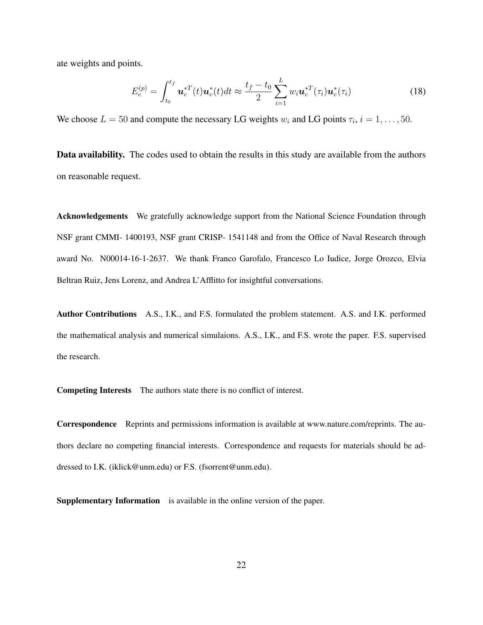ate weights and points.

$$
E_c^{(p)} = \int_{t_0}^{t_f} \mathbf{u}_c^{*T}(t) \mathbf{u}_c^{*}(t) dt \approx \frac{t_f - t_0}{2} \sum_{i=1}^L w_i \mathbf{u}_c^{*T}(\tau_i) \mathbf{u}_c^{*}(\tau_i)
$$
(18)

We choose  $L = 50$  and compute the necessary LG weights  $w_i$  and LG points  $\tau_i$ ,  $i = 1, \ldots, 50$ .

Data availability. The codes used to obtain the results in this study are available from the authors on reasonable request.

Acknowledgements We gratefully acknowledge support from the National Science Foundation through NSF grant CMMI- 1400193, NSF grant CRISP- 1541148 and from the Office of Naval Research through award No. N00014-16-1-2637. We thank Franco Garofalo, Francesco Lo Iudice, Jorge Orozco, Elvia Beltran Ruiz, Jens Lorenz, and Andrea L'Afflitto for insightful conversations.

Author Contributions A.S., I.K., and F.S. formulated the problem statement. A.S. and I.K. performed the mathematical analysis and numerical simulaions. A.S., I.K., and F.S. wrote the paper. F.S. supervised the research.

Competing Interests The authors state there is no conflict of interest.

Correspondence Reprints and permissions information is available at www.nature.com/reprints. The authors declare no competing financial interests. Correspondence and requests for materials should be addressed to I.K. (iklick@unm.edu) or F.S. (fsorrent@unm.edu).

Supplementary Information is available in the online version of the paper.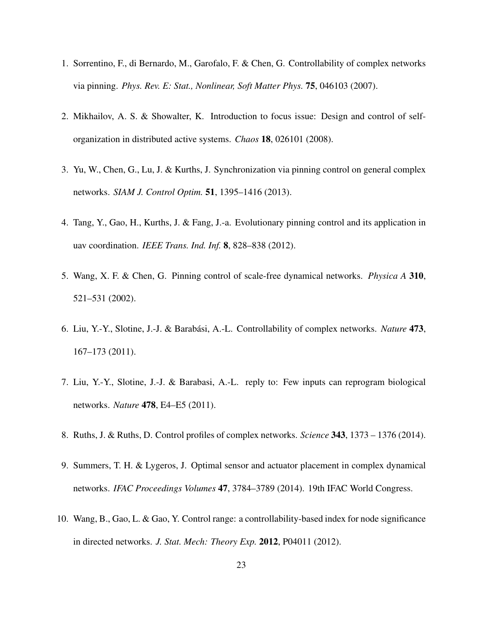- <span id="page-22-0"></span>1. Sorrentino, F., di Bernardo, M., Garofalo, F. & Chen, G. Controllability of complex networks via pinning. *Phys. Rev. E: Stat., Nonlinear, Soft Matter Phys.* 75, 046103 (2007).
- 2. Mikhailov, A. S. & Showalter, K. Introduction to focus issue: Design and control of selforganization in distributed active systems. *Chaos* 18, 026101 (2008).
- 3. Yu, W., Chen, G., Lu, J. & Kurths, J. Synchronization via pinning control on general complex networks. *SIAM J. Control Optim.* 51, 1395–1416 (2013).
- 4. Tang, Y., Gao, H., Kurths, J. & Fang, J.-a. Evolutionary pinning control and its application in uav coordination. *IEEE Trans. Ind. Inf.* 8, 828–838 (2012).
- 5. Wang, X. F. & Chen, G. Pinning control of scale-free dynamical networks. *Physica A* 310, 521–531 (2002).
- <span id="page-22-1"></span>6. Liu, Y.-Y., Slotine, J.-J. & Barabasi, A.-L. Controllability of complex networks. ´ *Nature* 473, 167–173 (2011).
- 7. Liu, Y.-Y., Slotine, J.-J. & Barabasi, A.-L. reply to: Few inputs can reprogram biological networks. *Nature* 478, E4–E5 (2011).
- <span id="page-22-2"></span>8. Ruths, J. & Ruths, D. Control profiles of complex networks. *Science* 343, 1373 – 1376 (2014).
- 9. Summers, T. H. & Lygeros, J. Optimal sensor and actuator placement in complex dynamical networks. *IFAC Proceedings Volumes* 47, 3784–3789 (2014). 19th IFAC World Congress.
- 10. Wang, B., Gao, L. & Gao, Y. Control range: a controllability-based index for node significance in directed networks. *J. Stat. Mech: Theory Exp.* 2012, P04011 (2012).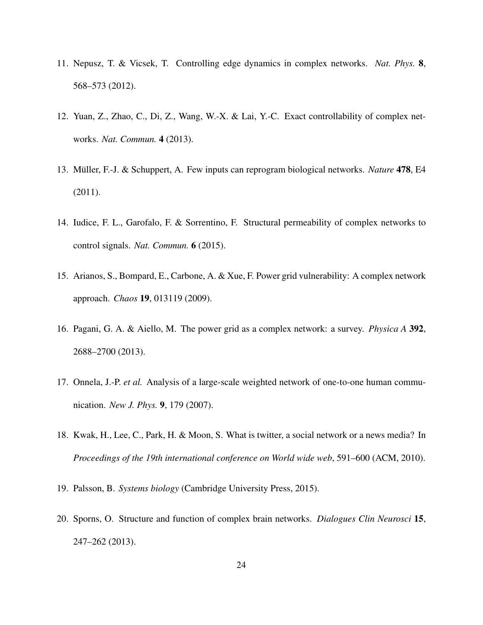- 11. Nepusz, T. & Vicsek, T. Controlling edge dynamics in complex networks. *Nat. Phys.* 8, 568–573 (2012).
- <span id="page-23-7"></span>12. Yuan, Z., Zhao, C., Di, Z., Wang, W.-X. & Lai, Y.-C. Exact controllability of complex networks. *Nat. Commun.* 4 (2013).
- 13. Müller, F.-J. & Schuppert, A. Few inputs can reprogram biological networks. *Nature* 478, E4 (2011).
- <span id="page-23-0"></span>14. Iudice, F. L., Garofalo, F. & Sorrentino, F. Structural permeability of complex networks to control signals. *Nat. Commun.* 6 (2015).
- <span id="page-23-1"></span>15. Arianos, S., Bompard, E., Carbone, A. & Xue, F. Power grid vulnerability: A complex network approach. *Chaos* 19, 013119 (2009).
- <span id="page-23-2"></span>16. Pagani, G. A. & Aiello, M. The power grid as a complex network: a survey. *Physica A* 392, 2688–2700 (2013).
- <span id="page-23-3"></span>17. Onnela, J.-P. *et al.* Analysis of a large-scale weighted network of one-to-one human communication. *New J. Phys.* 9, 179 (2007).
- <span id="page-23-4"></span>18. Kwak, H., Lee, C., Park, H. & Moon, S. What is twitter, a social network or a news media? In *Proceedings of the 19th international conference on World wide web*, 591–600 (ACM, 2010).
- <span id="page-23-6"></span><span id="page-23-5"></span>19. Palsson, B. *Systems biology* (Cambridge University Press, 2015).
- 20. Sporns, O. Structure and function of complex brain networks. *Dialogues Clin Neurosci* 15, 247–262 (2013).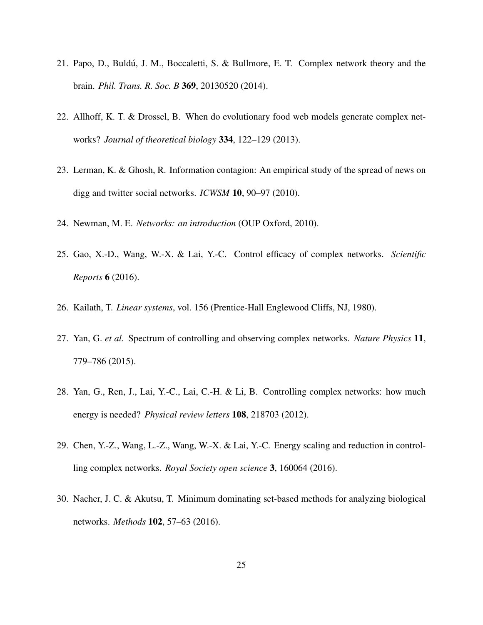- <span id="page-24-0"></span>21. Papo, D., Buldú, J. M., Boccaletti, S. & Bullmore, E. T. Complex network theory and the brain. *Phil. Trans. R. Soc. B* 369, 20130520 (2014).
- <span id="page-24-1"></span>22. Allhoff, K. T. & Drossel, B. When do evolutionary food web models generate complex networks? *Journal of theoretical biology* 334, 122–129 (2013).
- <span id="page-24-2"></span>23. Lerman, K. & Ghosh, R. Information contagion: An empirical study of the spread of news on digg and twitter social networks. *ICWSM* 10, 90–97 (2010).
- <span id="page-24-4"></span><span id="page-24-3"></span>24. Newman, M. E. *Networks: an introduction* (OUP Oxford, 2010).
- 25. Gao, X.-D., Wang, W.-X. & Lai, Y.-C. Control efficacy of complex networks. *Scientific Reports* 6 (2016).
- <span id="page-24-6"></span><span id="page-24-5"></span>26. Kailath, T. *Linear systems*, vol. 156 (Prentice-Hall Englewood Cliffs, NJ, 1980).
- 27. Yan, G. *et al.* Spectrum of controlling and observing complex networks. *Nature Physics* 11, 779–786 (2015).
- <span id="page-24-7"></span>28. Yan, G., Ren, J., Lai, Y.-C., Lai, C.-H. & Li, B. Controlling complex networks: how much energy is needed? *Physical review letters* 108, 218703 (2012).
- <span id="page-24-8"></span>29. Chen, Y.-Z., Wang, L.-Z., Wang, W.-X. & Lai, Y.-C. Energy scaling and reduction in controlling complex networks. *Royal Society open science* 3, 160064 (2016).
- <span id="page-24-9"></span>30. Nacher, J. C. & Akutsu, T. Minimum dominating set-based methods for analyzing biological networks. *Methods* 102, 57–63 (2016).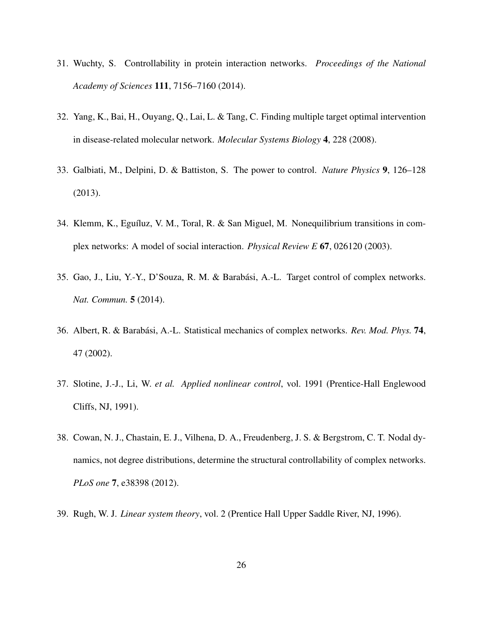- <span id="page-25-0"></span>31. Wuchty, S. Controllability in protein interaction networks. *Proceedings of the National Academy of Sciences* 111, 7156–7160 (2014).
- <span id="page-25-1"></span>32. Yang, K., Bai, H., Ouyang, Q., Lai, L. & Tang, C. Finding multiple target optimal intervention in disease-related molecular network. *Molecular Systems Biology* 4, 228 (2008).
- <span id="page-25-2"></span>33. Galbiati, M., Delpini, D. & Battiston, S. The power to control. *Nature Physics* 9, 126–128 (2013).
- <span id="page-25-3"></span>34. Klemm, K., Eguíluz, V. M., Toral, R. & San Miguel, M. Nonequilibrium transitions in complex networks: A model of social interaction. *Physical Review E* 67, 026120 (2003).
- <span id="page-25-4"></span>35. Gao, J., Liu, Y.-Y., D'Souza, R. M. & Barabási, A.-L. Target control of complex networks. *Nat. Commun.* 5 (2014).
- <span id="page-25-5"></span>36. Albert, R. & Barabasi, A.-L. Statistical mechanics of complex networks. ´ *Rev. Mod. Phys.* 74, 47 (2002).
- <span id="page-25-6"></span>37. Slotine, J.-J., Li, W. *et al. Applied nonlinear control*, vol. 1991 (Prentice-Hall Englewood Cliffs, NJ, 1991).
- <span id="page-25-7"></span>38. Cowan, N. J., Chastain, E. J., Vilhena, D. A., Freudenberg, J. S. & Bergstrom, C. T. Nodal dynamics, not degree distributions, determine the structural controllability of complex networks. *PLoS one* 7, e38398 (2012).
- <span id="page-25-8"></span>39. Rugh, W. J. *Linear system theory*, vol. 2 (Prentice Hall Upper Saddle River, NJ, 1996).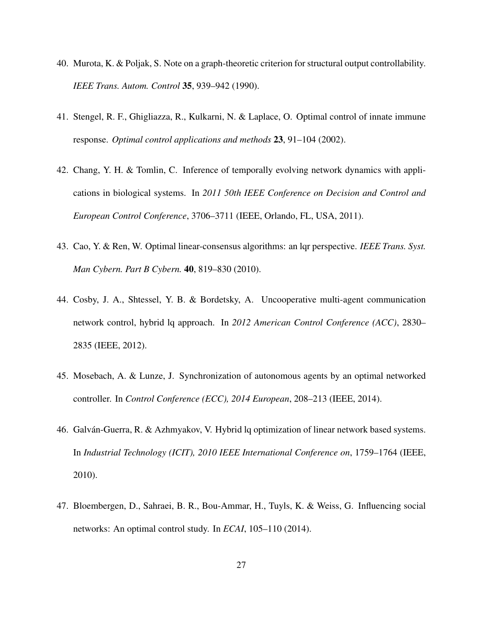- <span id="page-26-0"></span>40. Murota, K. & Poljak, S. Note on a graph-theoretic criterion for structural output controllability. *IEEE Trans. Autom. Control* 35, 939–942 (1990).
- <span id="page-26-1"></span>41. Stengel, R. F., Ghigliazza, R., Kulkarni, N. & Laplace, O. Optimal control of innate immune response. *Optimal control applications and methods* 23, 91–104 (2002).
- <span id="page-26-2"></span>42. Chang, Y. H. & Tomlin, C. Inference of temporally evolving network dynamics with applications in biological systems. In *2011 50th IEEE Conference on Decision and Control and European Control Conference*, 3706–3711 (IEEE, Orlando, FL, USA, 2011).
- <span id="page-26-3"></span>43. Cao, Y. & Ren, W. Optimal linear-consensus algorithms: an lqr perspective. *IEEE Trans. Syst. Man Cybern. Part B Cybern.* 40, 819–830 (2010).
- 44. Cosby, J. A., Shtessel, Y. B. & Bordetsky, A. Uncooperative multi-agent communication network control, hybrid lq approach. In *2012 American Control Conference (ACC)*, 2830– 2835 (IEEE, 2012).
- <span id="page-26-4"></span>45. Mosebach, A. & Lunze, J. Synchronization of autonomous agents by an optimal networked controller. In *Control Conference (ECC), 2014 European*, 208–213 (IEEE, 2014).
- <span id="page-26-5"></span>46. Galván-Guerra, R. & Azhmyakov, V. Hybrid lq optimization of linear network based systems. In *Industrial Technology (ICIT), 2010 IEEE International Conference on*, 1759–1764 (IEEE, 2010).
- <span id="page-26-6"></span>47. Bloembergen, D., Sahraei, B. R., Bou-Ammar, H., Tuyls, K. & Weiss, G. Influencing social networks: An optimal control study. In *ECAI*, 105–110 (2014).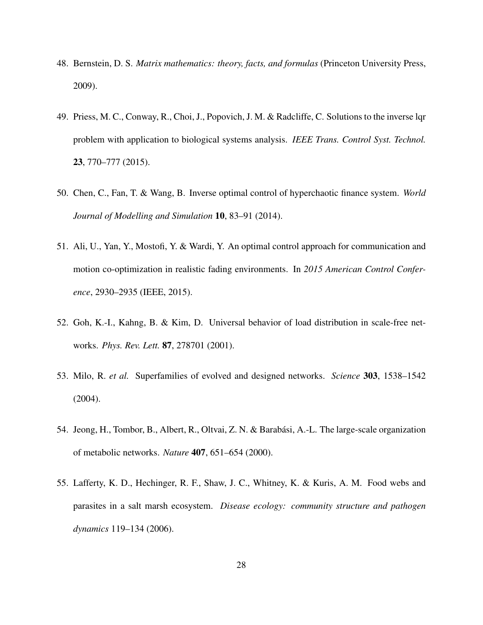- <span id="page-27-0"></span>48. Bernstein, D. S. *Matrix mathematics: theory, facts, and formulas* (Princeton University Press, 2009).
- 49. Priess, M. C., Conway, R., Choi, J., Popovich, J. M. & Radcliffe, C. Solutions to the inverse lqr problem with application to biological systems analysis. *IEEE Trans. Control Syst. Technol.* 23, 770–777 (2015).
- 50. Chen, C., Fan, T. & Wang, B. Inverse optimal control of hyperchaotic finance system. *World Journal of Modelling and Simulation* 10, 83–91 (2014).
- <span id="page-27-1"></span>51. Ali, U., Yan, Y., Mostofi, Y. & Wardi, Y. An optimal control approach for communication and motion co-optimization in realistic fading environments. In *2015 American Control Conference*, 2930–2935 (IEEE, 2015).
- <span id="page-27-2"></span>52. Goh, K.-I., Kahng, B. & Kim, D. Universal behavior of load distribution in scale-free networks. *Phys. Rev. Lett.* 87, 278701 (2001).
- <span id="page-27-3"></span>53. Milo, R. *et al.* Superfamilies of evolved and designed networks. *Science* 303, 1538–1542 (2004).
- <span id="page-27-4"></span>54. Jeong, H., Tombor, B., Albert, R., Oltvai, Z. N. & Barabási, A.-L. The large-scale organization of metabolic networks. *Nature* 407, 651–654 (2000).
- <span id="page-27-5"></span>55. Lafferty, K. D., Hechinger, R. F., Shaw, J. C., Whitney, K. & Kuris, A. M. Food webs and parasites in a salt marsh ecosystem. *Disease ecology: community structure and pathogen dynamics* 119–134 (2006).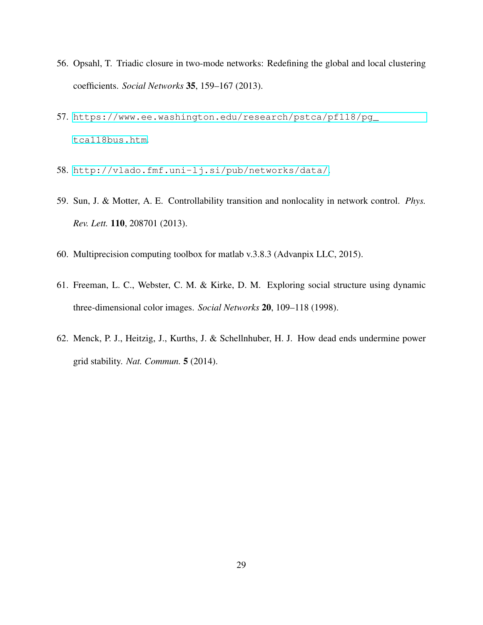- <span id="page-28-0"></span>56. Opsahl, T. Triadic closure in two-mode networks: Redefining the global and local clustering coefficients. *Social Networks* 35, 159–167 (2013).
- <span id="page-28-1"></span>57. [https://www.ee.washington.edu/research/pstca/pf118/pg\\_](https://www.ee.washington.edu/research/pstca/pf118/pg_tca118bus.htm) [tca118bus.htm](https://www.ee.washington.edu/research/pstca/pf118/pg_tca118bus.htm).
- <span id="page-28-3"></span><span id="page-28-2"></span>58. <http://vlado.fmf.uni-lj.si/pub/networks/data/>.
- 59. Sun, J. & Motter, A. E. Controllability transition and nonlocality in network control. *Phys. Rev. Lett.* 110, 208701 (2013).
- <span id="page-28-5"></span><span id="page-28-4"></span>60. Multiprecision computing toolbox for matlab v.3.8.3 (Advanpix LLC, 2015).
- 61. Freeman, L. C., Webster, C. M. & Kirke, D. M. Exploring social structure using dynamic three-dimensional color images. *Social Networks* 20, 109–118 (1998).
- <span id="page-28-6"></span>62. Menck, P. J., Heitzig, J., Kurths, J. & Schellnhuber, H. J. How dead ends undermine power grid stability. *Nat. Commun.* 5 (2014).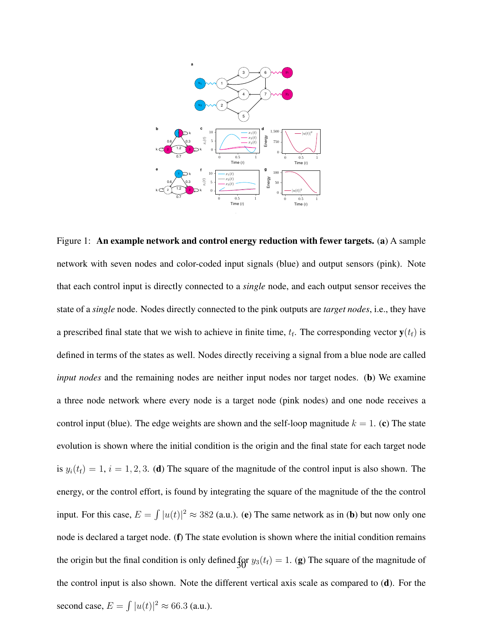

Figure 1: An example network and control energy reduction with fewer targets. (a) A sample network with seven nodes and color-coded input signals (blue) and output sensors (pink). Note that each control input is directly connected to a *single* node, and each output sensor receives the state of a *single* node. Nodes directly connected to the pink outputs are *target nodes*, i.e., they have a prescribed final state that we wish to achieve in finite time,  $t_f$ . The corresponding vector  $y(t_f)$  is defined in terms of the states as well. Nodes directly receiving a signal from a blue node are called *input nodes* and the remaining nodes are neither input nodes nor target nodes. (b) We examine a three node network where every node is a target node (pink nodes) and one node receives a control input (blue). The edge weights are shown and the self-loop magnitude  $k = 1$ . (c) The state evolution is shown where the initial condition is the origin and the final state for each target node is  $y_i(t_f) = 1$ ,  $i = 1, 2, 3$ . (d) The square of the magnitude of the control input is also shown. The energy, or the control effort, is found by integrating the square of the magnitude of the the control input. For this case,  $E = \int |u(t)|^2 \approx 382$  (a.u.). (e) The same network as in (b) but now only one node is declared a target node. (f) The state evolution is shown where the initial condition remains the origin but the final condition is only defined  $\frac{f}{3}$   $y_3(t_f) = 1$ . (g) The square of the magnitude of the control input is also shown. Note the different vertical axis scale as compared to  $(d)$ . For the second case,  $E = \int |u(t)|^2 \approx 66.3$  (a.u.).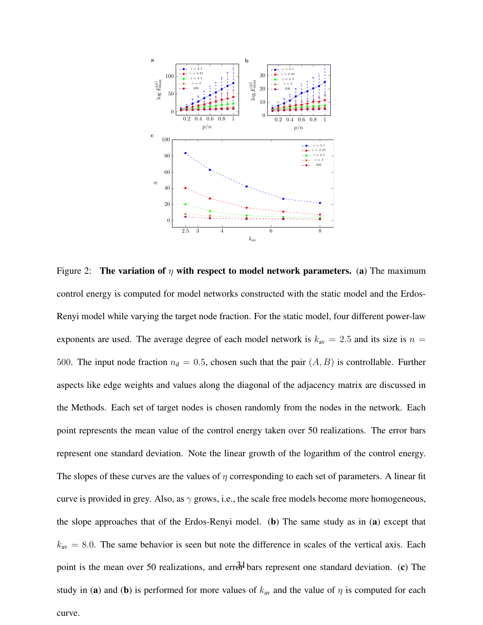

Figure 2: The variation of  $\eta$  with respect to model network parameters. (a) The maximum control energy is computed for model networks constructed with the static model and the Erdos-Renyi model while varying the target node fraction. For the static model, four different power-law exponents are used. The average degree of each model network is  $k_{av} = 2.5$  and its size is  $n =$ 500. The input node fraction  $n_d = 0.5$ , chosen such that the pair  $(A, B)$  is controllable. Further aspects like edge weights and values along the diagonal of the adjacency matrix are discussed in the Methods. Each set of target nodes is chosen randomly from the nodes in the network. Each point represents the mean value of the control energy taken over 50 realizations. The error bars represent one standard deviation. Note the linear growth of the logarithm of the control energy. The slopes of these curves are the values of  $\eta$  corresponding to each set of parameters. A linear fit curve is provided in grey. Also, as  $\gamma$  grows, i.e., the scale free models become more homogeneous, the slope approaches that of the Erdos-Renyi model. (b) The same study as in (a) except that  $k_{\text{av}} = 8.0$ . The same behavior is seen but note the difference in scales of the vertical axis. Each point is the mean over 50 realizations, and errord bars represent one standard deviation. (c) The study in (a) and (b) is performed for more values of  $k_{av}$  and the value of  $\eta$  is computed for each curve.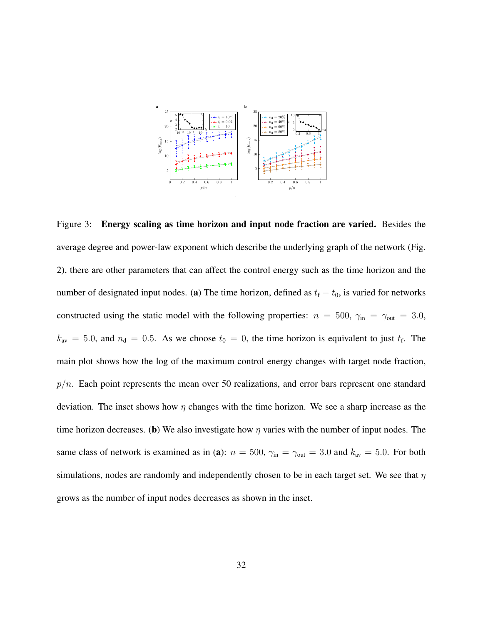

Figure 3: Energy scaling as time horizon and input node fraction are varied. Besides the average degree and power-law exponent which describe the underlying graph of the network (Fig. 2), there are other parameters that can affect the control energy such as the time horizon and the number of designated input nodes. (a) The time horizon, defined as  $t_f - t_0$ , is varied for networks constructed using the static model with the following properties:  $n = 500$ ,  $\gamma_{\text{in}} = \gamma_{\text{out}} = 3.0$ ,  $k_{\text{av}} = 5.0$ , and  $n_{\text{d}} = 0.5$ . As we choose  $t_0 = 0$ , the time horizon is equivalent to just  $t_f$ . The main plot shows how the log of the maximum control energy changes with target node fraction,  $p/n$ . Each point represents the mean over 50 realizations, and error bars represent one standard deviation. The inset shows how  $\eta$  changes with the time horizon. We see a sharp increase as the time horizon decreases. (b) We also investigate how  $\eta$  varies with the number of input nodes. The same class of network is examined as in (a):  $n = 500$ ,  $\gamma_{\text{in}} = \gamma_{\text{out}} = 3.0$  and  $k_{\text{av}} = 5.0$ . For both simulations, nodes are randomly and independently chosen to be in each target set. We see that  $\eta$ grows as the number of input nodes decreases as shown in the inset.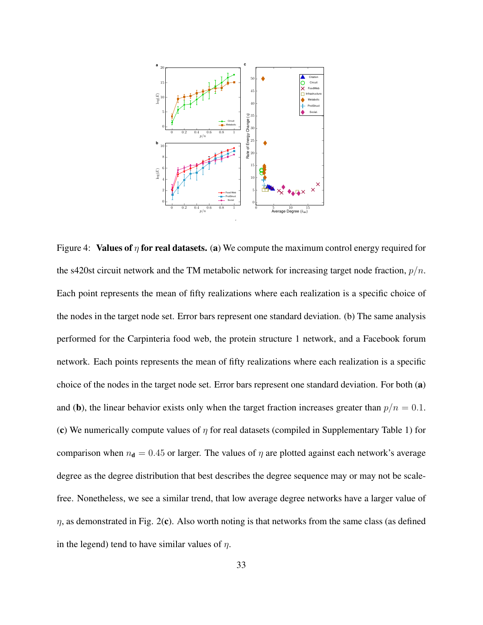

Figure 4: Values of  $\eta$  for real datasets. (a) We compute the maximum control energy required for the s420st circuit network and the TM metabolic network for increasing target node fraction,  $p/n$ . Each point represents the mean of fifty realizations where each realization is a specific choice of the nodes in the target node set. Error bars represent one standard deviation. (b) The same analysis performed for the Carpinteria food web, the protein structure 1 network, and a Facebook forum network. Each points represents the mean of fifty realizations where each realization is a specific choice of the nodes in the target node set. Error bars represent one standard deviation. For both (a) and (b), the linear behavior exists only when the target fraction increases greater than  $p/n = 0.1$ . (c) We numerically compute values of  $\eta$  for real datasets (compiled in Supplementary Table 1) for comparison when  $n_d = 0.45$  or larger. The values of  $\eta$  are plotted against each network's average degree as the degree distribution that best describes the degree sequence may or may not be scalefree. Nonetheless, we see a similar trend, that low average degree networks have a larger value of  $\eta$ , as demonstrated in Fig. 2(c). Also worth noting is that networks from the same class (as defined in the legend) tend to have similar values of  $\eta$ .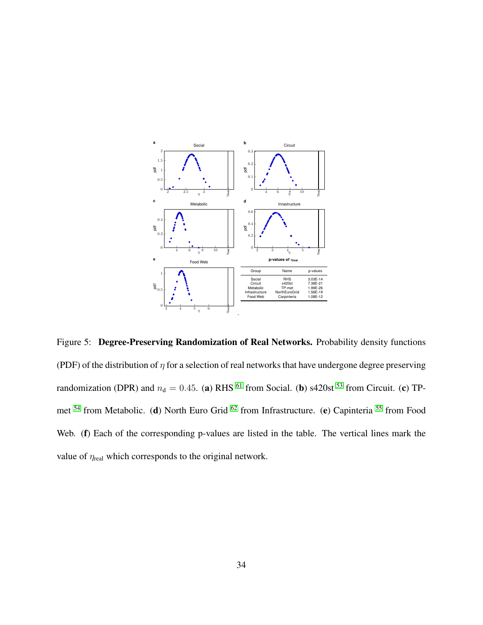

Figure 5: Degree-Preserving Randomization of Real Networks. Probability density functions (PDF) of the distribution of  $\eta$  for a selection of real networks that have undergone degree preserving randomization (DPR) and  $n_d = 0.45$ . (a) RHS <sup>[61](#page-28-5)</sup> from Social. (b) s420st <sup>[53](#page-27-3)</sup> from Circuit. (c) TP-met <sup>[54](#page-27-4)</sup> from Metabolic. (d) North Euro Grid <sup>[62](#page-28-6)</sup> from Infrastructure. (e) Capinteria <sup>[55](#page-27-5)</sup> from Food Web. (f) Each of the corresponding p-values are listed in the table. The vertical lines mark the value of  $\eta_{\text{real}}$  which corresponds to the original network.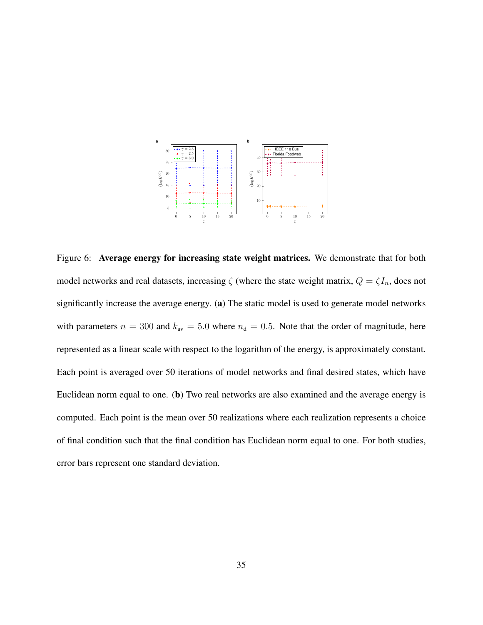

Figure 6: Average energy for increasing state weight matrices. We demonstrate that for both model networks and real datasets, increasing  $\zeta$  (where the state weight matrix,  $Q = \zeta I_n$ , does not significantly increase the average energy. (a) The static model is used to generate model networks with parameters  $n = 300$  and  $k_{av} = 5.0$  where  $n_d = 0.5$ . Note that the order of magnitude, here represented as a linear scale with respect to the logarithm of the energy, is approximately constant. Each point is averaged over 50 iterations of model networks and final desired states, which have Euclidean norm equal to one. (b) Two real networks are also examined and the average energy is computed. Each point is the mean over 50 realizations where each realization represents a choice of final condition such that the final condition has Euclidean norm equal to one. For both studies, error bars represent one standard deviation.